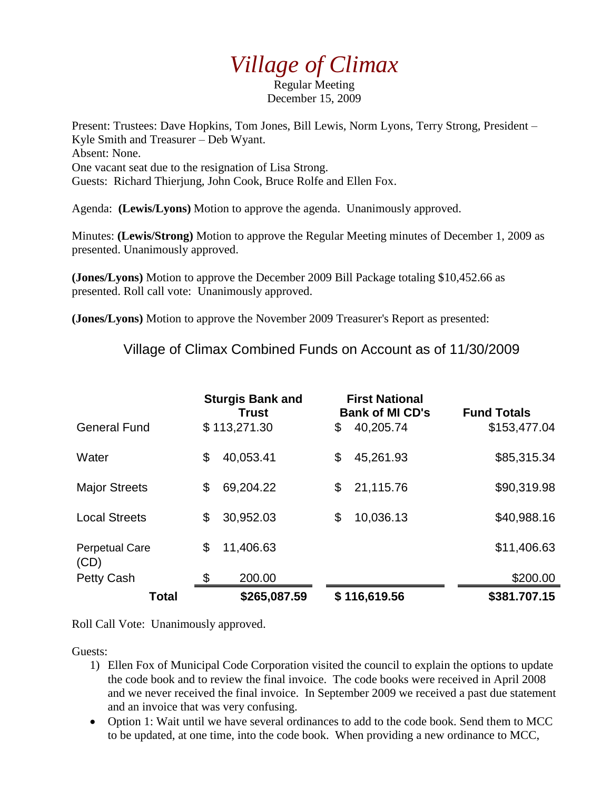## *Village of Climax*

Regular Meeting December 15, 2009

Present: Trustees: Dave Hopkins, Tom Jones, Bill Lewis, Norm Lyons, Terry Strong, President – Kyle Smith and Treasurer – Deb Wyant. Absent: None. One vacant seat due to the resignation of Lisa Strong. Guests: Richard Thierjung, John Cook, Bruce Rolfe and Ellen Fox.

Agenda: **(Lewis/Lyons)** Motion to approve the agenda. Unanimously approved.

Minutes: **(Lewis/Strong)** Motion to approve the Regular Meeting minutes of December 1, 2009 as presented. Unanimously approved.

**(Jones/Lyons)** Motion to approve the December 2009 Bill Package totaling \$10,452.66 as presented. Roll call vote: Unanimously approved.

**(Jones/Lyons)** Motion to approve the November 2009 Treasurer's Report as presented:

Village of Climax Combined Funds on Account as of 11/30/2009

|                               | <b>Sturgis Bank and</b><br><b>Trust</b> | <b>First National</b><br><b>Bank of MI CD's</b> | <b>Fund Totals</b> |
|-------------------------------|-----------------------------------------|-------------------------------------------------|--------------------|
| <b>General Fund</b>           | \$113,271.30                            | 40,205.74<br>\$                                 | \$153,477.04       |
| Water                         | \$<br>40,053.41                         | 45,261.93<br>\$                                 | \$85,315.34        |
| <b>Major Streets</b>          | \$<br>69,204.22                         | 21,115.76<br>\$                                 | \$90,319.98        |
| <b>Local Streets</b>          | 30,952.03<br>\$                         | 10,036.13<br>\$                                 | \$40,988.16        |
| <b>Perpetual Care</b><br>(CD) | \$<br>11,406.63                         |                                                 | \$11,406.63        |
| Petty Cash                    | \$<br>200.00                            |                                                 | \$200.00           |
| Total                         | \$265,087.59                            | \$116,619.56                                    | \$381.707.15       |

Roll Call Vote: Unanimously approved.

Guests:

- 1) Ellen Fox of Municipal Code Corporation visited the council to explain the options to update the code book and to review the final invoice. The code books were received in April 2008 and we never received the final invoice. In September 2009 we received a past due statement and an invoice that was very confusing.
- Option 1: Wait until we have several ordinances to add to the code book. Send them to MCC to be updated, at one time, into the code book. When providing a new ordinance to MCC,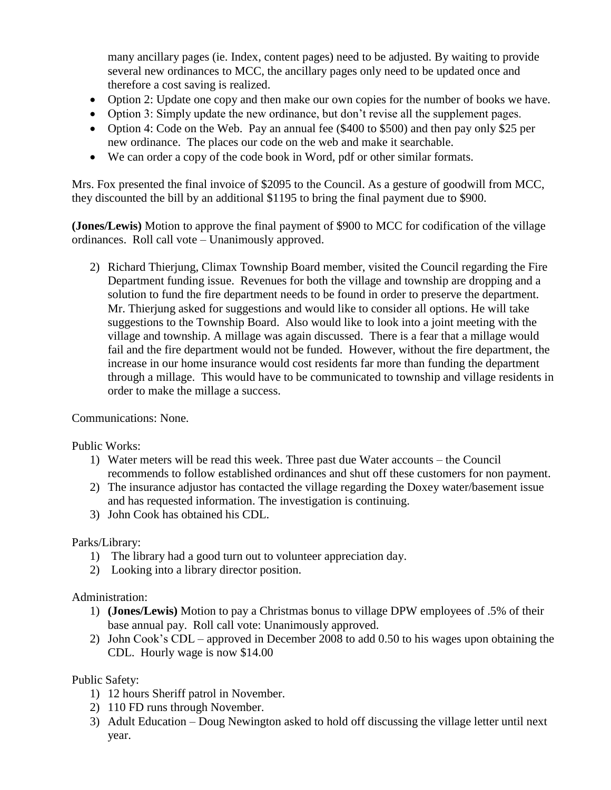many ancillary pages (ie. Index, content pages) need to be adjusted. By waiting to provide several new ordinances to MCC, the ancillary pages only need to be updated once and therefore a cost saving is realized.

- Option 2: Update one copy and then make our own copies for the number of books we have.
- Option 3: Simply update the new ordinance, but don't revise all the supplement pages.
- Option 4: Code on the Web. Pay an annual fee (\$400 to \$500) and then pay only \$25 per new ordinance. The places our code on the web and make it searchable.
- We can order a copy of the code book in Word, pdf or other similar formats.

Mrs. Fox presented the final invoice of \$2095 to the Council. As a gesture of goodwill from MCC, they discounted the bill by an additional \$1195 to bring the final payment due to \$900.

**(Jones/Lewis)** Motion to approve the final payment of \$900 to MCC for codification of the village ordinances. Roll call vote – Unanimously approved.

2) Richard Thierjung, Climax Township Board member, visited the Council regarding the Fire Department funding issue. Revenues for both the village and township are dropping and a solution to fund the fire department needs to be found in order to preserve the department. Mr. Thierjung asked for suggestions and would like to consider all options. He will take suggestions to the Township Board. Also would like to look into a joint meeting with the village and township. A millage was again discussed. There is a fear that a millage would fail and the fire department would not be funded. However, without the fire department, the increase in our home insurance would cost residents far more than funding the department through a millage. This would have to be communicated to township and village residents in order to make the millage a success.

Communications: None.

Public Works:

- 1) Water meters will be read this week. Three past due Water accounts the Council recommends to follow established ordinances and shut off these customers for non payment.
- 2) The insurance adjustor has contacted the village regarding the Doxey water/basement issue and has requested information. The investigation is continuing.
- 3) John Cook has obtained his CDL.

## Parks/Library:

- 1) The library had a good turn out to volunteer appreciation day.
- 2) Looking into a library director position.

## Administration:

- 1) **(Jones/Lewis)** Motion to pay a Christmas bonus to village DPW employees of .5% of their base annual pay. Roll call vote: Unanimously approved.
- 2) John Cook's CDL approved in December 2008 to add 0.50 to his wages upon obtaining the CDL. Hourly wage is now \$14.00

## Public Safety:

- 1) 12 hours Sheriff patrol in November.
- 2) 110 FD runs through November.
- 3) Adult Education Doug Newington asked to hold off discussing the village letter until next year.